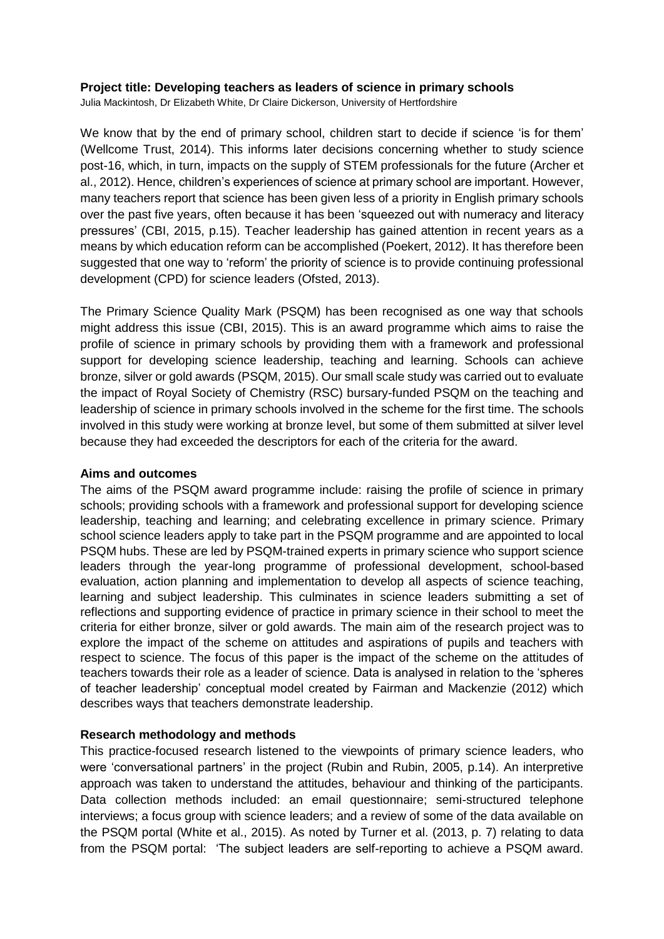## **Project title: Developing teachers as leaders of science in primary schools**

Julia Mackintosh, Dr Elizabeth White, Dr Claire Dickerson, University of Hertfordshire

We know that by the end of primary school, children start to decide if science 'is for them' (Wellcome Trust, 2014). This informs later decisions concerning whether to study science post-16, which, in turn, impacts on the supply of STEM professionals for the future (Archer et al., 2012). Hence, children's experiences of science at primary school are important. However, many teachers report that science has been given less of a priority in English primary schools over the past five years, often because it has been 'squeezed out with numeracy and literacy pressures' (CBI, 2015, p.15). Teacher leadership has gained attention in recent years as a means by which education reform can be accomplished (Poekert, 2012). It has therefore been suggested that one way to 'reform' the priority of science is to provide continuing professional development (CPD) for science leaders (Ofsted, 2013).

The Primary Science Quality Mark (PSQM) has been recognised as one way that schools might address this issue (CBI, 2015). This is an award programme which aims to raise the profile of science in primary schools by providing them with a framework and professional support for developing science leadership, teaching and learning. Schools can achieve bronze, silver or gold awards (PSQM, 2015). Our small scale study was carried out to evaluate the impact of Royal Society of Chemistry (RSC) bursary-funded PSQM on the teaching and leadership of science in primary schools involved in the scheme for the first time. The schools involved in this study were working at bronze level, but some of them submitted at silver level because they had exceeded the descriptors for each of the criteria for the award.

### **Aims and outcomes**

The aims of the PSQM award programme include: raising the profile of science in primary schools; providing schools with a framework and professional support for developing science leadership, teaching and learning; and celebrating excellence in primary science. Primary school science leaders apply to take part in the PSQM programme and are appointed to local PSQM hubs. These are led by PSQM-trained experts in primary science who support science leaders through the year-long programme of professional development, school-based evaluation, action planning and implementation to develop all aspects of science teaching, learning and subject leadership. This culminates in science leaders submitting a set of reflections and supporting evidence of practice in primary science in their school to meet the criteria for either bronze, silver or gold awards. The main aim of the research project was to explore the impact of the scheme on attitudes and aspirations of pupils and teachers with respect to science. The focus of this paper is the impact of the scheme on the attitudes of teachers towards their role as a leader of science. Data is analysed in relation to the 'spheres of teacher leadership' conceptual model created by Fairman and Mackenzie (2012) which describes ways that teachers demonstrate leadership.

## **Research methodology and methods**

This practice-focused research listened to the viewpoints of primary science leaders, who were 'conversational partners' in the project (Rubin and Rubin, 2005, p.14). An interpretive approach was taken to understand the attitudes, behaviour and thinking of the participants. Data collection methods included: an email questionnaire; semi-structured telephone interviews; a focus group with science leaders; and a review of some of the data available on the PSQM portal (White et al., 2015). As noted by Turner et al. (2013, p. 7) relating to data from the PSQM portal: 'The subject leaders are self-reporting to achieve a PSQM award.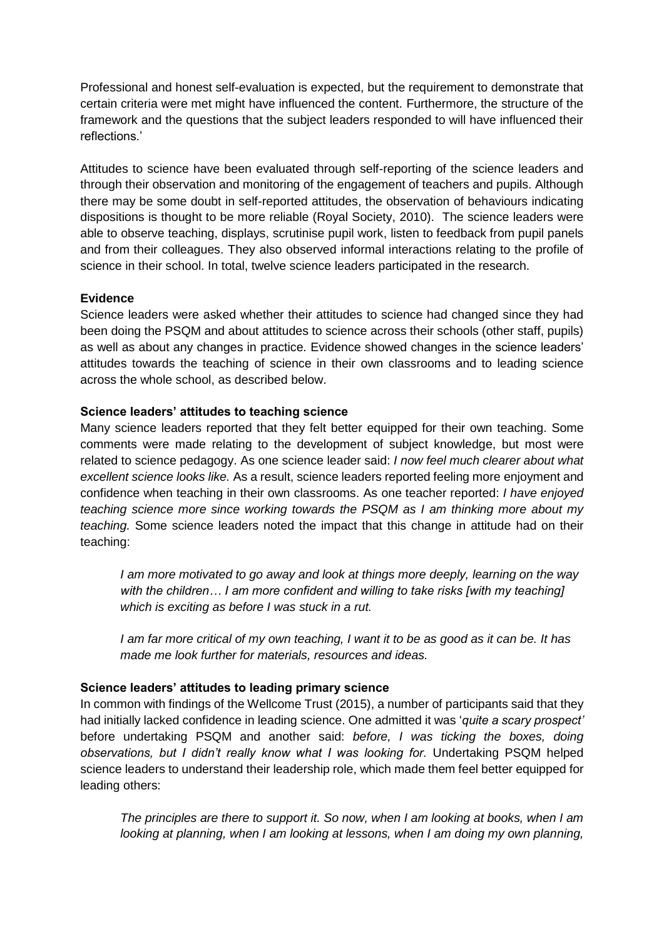Professional and honest self-evaluation is expected, but the requirement to demonstrate that certain criteria were met might have influenced the content. Furthermore, the structure of the framework and the questions that the subject leaders responded to will have influenced their reflections.'

Attitudes to science have been evaluated through self-reporting of the science leaders and through their observation and monitoring of the engagement of teachers and pupils. Although there may be some doubt in self-reported attitudes, the observation of behaviours indicating dispositions is thought to be more reliable (Royal Society, 2010). The science leaders were able to observe teaching, displays, scrutinise pupil work, listen to feedback from pupil panels and from their colleagues. They also observed informal interactions relating to the profile of science in their school. In total, twelve science leaders participated in the research.

## **Evidence**

Science leaders were asked whether their attitudes to science had changed since they had been doing the PSQM and about attitudes to science across their schools (other staff, pupils) as well as about any changes in practice. Evidence showed changes in the science leaders' attitudes towards the teaching of science in their own classrooms and to leading science across the whole school, as described below.

# **Science leaders' attitudes to teaching science**

Many science leaders reported that they felt better equipped for their own teaching. Some comments were made relating to the development of subject knowledge, but most were related to science pedagogy. As one science leader said: *I now feel much clearer about what excellent science looks like.* As a result, science leaders reported feeling more enjoyment and confidence when teaching in their own classrooms. As one teacher reported: *I have enjoyed teaching science more since working towards the PSQM as I am thinking more about my teaching.* Some science leaders noted the impact that this change in attitude had on their teaching:

*I am more motivated to go away and look at things more deeply, learning on the way with the children… I am more confident and willing to take risks [with my teaching] which is exciting as before I was stuck in a rut.*

*I am far more critical of my own teaching, I want it to be as good as it can be. It has made me look further for materials, resources and ideas.*

## **Science leaders' attitudes to leading primary science**

In common with findings of the Wellcome Trust (2015), a number of participants said that they had initially lacked confidence in leading science. One admitted it was '*quite a scary prospect'*  before undertaking PSQM and another said: *before, I was ticking the boxes, doing observations, but I didn't really know what I was looking for.* Undertaking PSQM helped science leaders to understand their leadership role, which made them feel better equipped for leading others:

*The principles are there to support it. So now, when I am looking at books, when I am looking at planning, when I am looking at lessons, when I am doing my own planning,*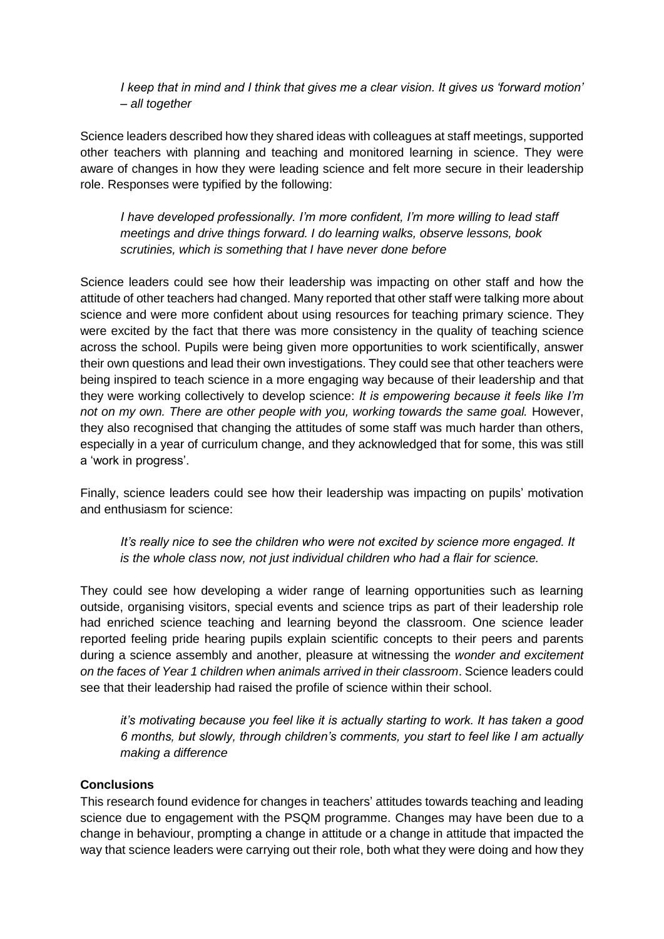*I keep that in mind and I think that gives me a clear vision. It gives us 'forward motion' – all together*

Science leaders described how they shared ideas with colleagues at staff meetings, supported other teachers with planning and teaching and monitored learning in science. They were aware of changes in how they were leading science and felt more secure in their leadership role. Responses were typified by the following:

*I have developed professionally. I'm more confident, I'm more willing to lead staff meetings and drive things forward. I do learning walks, observe lessons, book scrutinies, which is something that I have never done before*

Science leaders could see how their leadership was impacting on other staff and how the attitude of other teachers had changed. Many reported that other staff were talking more about science and were more confident about using resources for teaching primary science. They were excited by the fact that there was more consistency in the quality of teaching science across the school. Pupils were being given more opportunities to work scientifically, answer their own questions and lead their own investigations. They could see that other teachers were being inspired to teach science in a more engaging way because of their leadership and that they were working collectively to develop science: *It is empowering because it feels like I'm not on my own. There are other people with you, working towards the same goal.* However, they also recognised that changing the attitudes of some staff was much harder than others, especially in a year of curriculum change, and they acknowledged that for some, this was still a 'work in progress'.

Finally, science leaders could see how their leadership was impacting on pupils' motivation and enthusiasm for science:

*It's really nice to see the children who were not excited by science more engaged. It is the whole class now, not just individual children who had a flair for science.*

They could see how developing a wider range of learning opportunities such as learning outside, organising visitors, special events and science trips as part of their leadership role had enriched science teaching and learning beyond the classroom. One science leader reported feeling pride hearing pupils explain scientific concepts to their peers and parents during a science assembly and another, pleasure at witnessing the *wonder and excitement on the faces of Year 1 children when animals arrived in their classroom*. Science leaders could see that their leadership had raised the profile of science within their school.

*it's motivating because you feel like it is actually starting to work. It has taken a good 6 months, but slowly, through children's comments, you start to feel like I am actually making a difference*

## **Conclusions**

This research found evidence for changes in teachers' attitudes towards teaching and leading science due to engagement with the PSQM programme. Changes may have been due to a change in behaviour, prompting a change in attitude or a change in attitude that impacted the way that science leaders were carrying out their role, both what they were doing and how they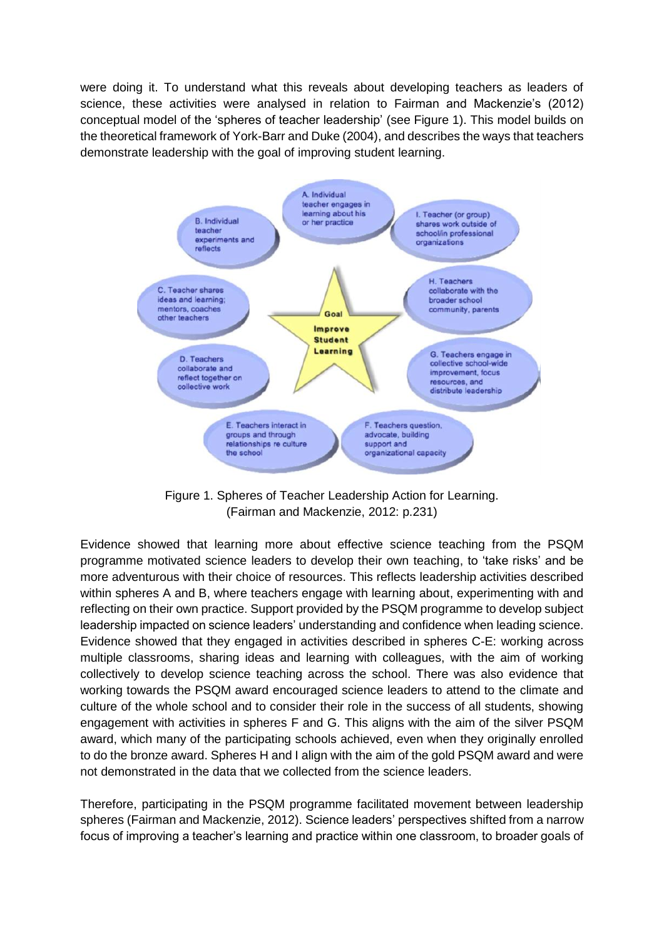were doing it. To understand what this reveals about developing teachers as leaders of science, these activities were analysed in relation to Fairman and Mackenzie's (2012) conceptual model of the 'spheres of teacher leadership' (see Figure 1). This model builds on the theoretical framework of York-Barr and Duke (2004), and describes the ways that teachers demonstrate leadership with the goal of improving student learning.



Figure 1. Spheres of Teacher Leadership Action for Learning. (Fairman and Mackenzie, 2012: p.231)

Evidence showed that learning more about effective science teaching from the PSQM programme motivated science leaders to develop their own teaching, to 'take risks' and be more adventurous with their choice of resources. This reflects leadership activities described within spheres A and B, where teachers engage with learning about, experimenting with and reflecting on their own practice. Support provided by the PSQM programme to develop subject leadership impacted on science leaders' understanding and confidence when leading science. Evidence showed that they engaged in activities described in spheres C-E: working across multiple classrooms, sharing ideas and learning with colleagues, with the aim of working collectively to develop science teaching across the school. There was also evidence that working towards the PSQM award encouraged science leaders to attend to the climate and culture of the whole school and to consider their role in the success of all students, showing engagement with activities in spheres F and G. This aligns with the aim of the silver PSQM award, which many of the participating schools achieved, even when they originally enrolled to do the bronze award. Spheres H and I align with the aim of the gold PSQM award and were not demonstrated in the data that we collected from the science leaders.

Therefore, participating in the PSQM programme facilitated movement between leadership spheres (Fairman and Mackenzie, 2012). Science leaders' perspectives shifted from a narrow focus of improving a teacher's learning and practice within one classroom, to broader goals of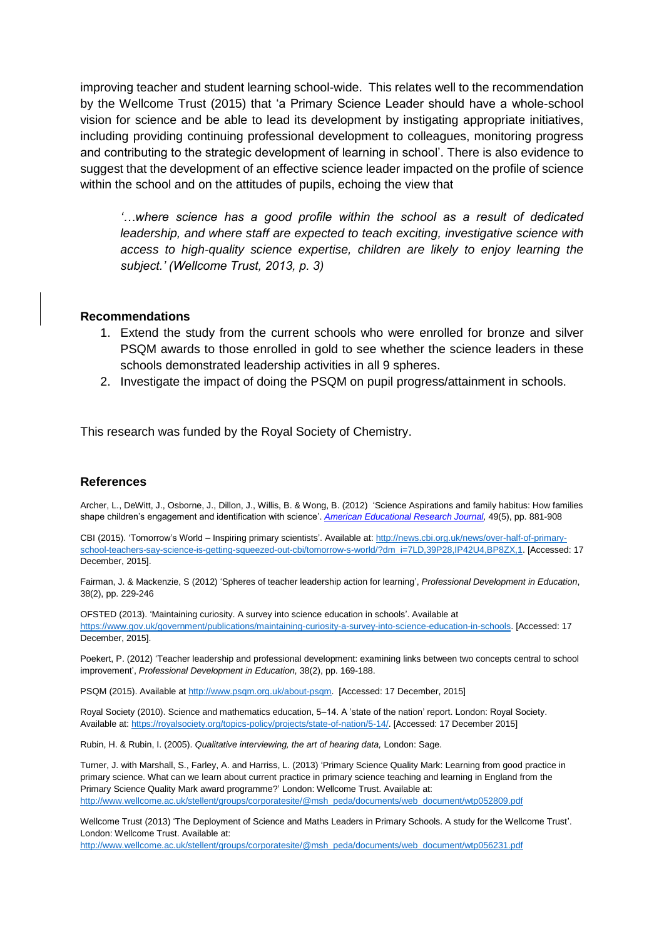improving teacher and student learning school-wide. This relates well to the recommendation by the Wellcome Trust (2015) that 'a Primary Science Leader should have a whole-school vision for science and be able to lead its development by instigating appropriate initiatives, including providing continuing professional development to colleagues, monitoring progress and contributing to the strategic development of learning in school'. There is also evidence to suggest that the development of an effective science leader impacted on the profile of science within the school and on the attitudes of pupils, echoing the view that

*'…where science has a good profile within the school as a result of dedicated leadership, and where staff are expected to teach exciting, investigative science with access to high-quality science expertise, children are likely to enjoy learning the subject.' (Wellcome Trust, 2013, p. 3)* 

### **Recommendations**

- 1. Extend the study from the current schools who were enrolled for bronze and silver PSQM awards to those enrolled in gold to see whether the science leaders in these schools demonstrated leadership activities in all 9 spheres.
- 2. Investigate the impact of doing the PSQM on pupil progress/attainment in schools.

This research was funded by the Royal Society of Chemistry.

#### **References**

Archer, L., DeWitt, J., Osborne, J., Dillon, J., Willis, B. & Wong, B. (2012) 'Science Aspirations and family habitus: How families shape children's engagement and identification with science'. *[American Educational Research Journal,](http://aer.sagepub.com/content/early/2012/01/17/0002831211433290)* 49(5), pp. 881-908

CBI (2015). 'Tomorrow's World – Inspiring primary scientists'. Available at: [http://news.cbi.org.uk/news/over-half-of-primary](http://news.cbi.org.uk/news/over-half-of-primary-school-teachers-say-science-is-getting-squeezed-out-cbi/tomorrow-s-world/?dm_i=7LD,39P28,IP42U4,BP8ZX,1)[school-teachers-say-science-is-getting-squeezed-out-cbi/tomorrow-s-world/?dm\\_i=7LD,39P28,IP42U4,BP8ZX,1.](http://news.cbi.org.uk/news/over-half-of-primary-school-teachers-say-science-is-getting-squeezed-out-cbi/tomorrow-s-world/?dm_i=7LD,39P28,IP42U4,BP8ZX,1) [Accessed: 17 December, 2015].

Fairman, J. & Mackenzie, S (2012) 'Spheres of teacher leadership action for learning', *Professional Development in Education*, 38(2), pp. 229-246

OFSTED (2013). 'Maintaining curiosity. A survey into science education in schools'. Available at [https://www.gov.uk/government/publications/maintaining-curiosity-a-survey-into-science-education-in-schools.](https://www.gov.uk/government/publications/maintaining-curiosity-a-survey-into-science-education-in-schools) [Accessed: 17 December, 2015].

Poekert, P. (2012) 'Teacher leadership and professional development: examining links between two concepts central to school improvement', *Professional Development in Education*, 38(2), pp. 169-188.

PSQM (2015). Available at [http://www.psqm.org.uk/about-psqm.](http://www.psqm.org.uk/about-psqm) [Accessed: 17 December, 2015]

Royal Society (2010). Science and mathematics education, 5–14. A 'state of the nation' report. London: Royal Society. Available at: [https://royalsociety.org/topics-policy/projects/state-of-nation/5-14/.](https://royalsociety.org/topics-policy/projects/state-of-nation/5-14/) [Accessed: 17 December 2015]

Rubin, H. & Rubin, I. (2005). *Qualitative interviewing, the art of hearing data,* London: Sage.

Turner, J. with Marshall, S., Farley, A. and Harriss, L. (2013) 'Primary Science Quality Mark: Learning from good practice in primary science. What can we learn about current practice in primary science teaching and learning in England from the Primary Science Quality Mark award programme?' London: Wellcome Trust. Available at: [http://www.wellcome.ac.uk/stellent/groups/corporatesite/@msh\\_peda/documents/web\\_document/wtp052809.pdf](http://www.wellcome.ac.uk/stellent/groups/corporatesite/@msh_peda/documents/web_document/wtp052809.pdf) 

Wellcome Trust (2013) 'The Deployment of Science and Maths Leaders in Primary Schools. A study for the Wellcome Trust'. London: Wellcome Trust. Available at:

[http://www.wellcome.ac.uk/stellent/groups/corporatesite/@msh\\_peda/documents/web\\_document/wtp056231.pdf](http://www.wellcome.ac.uk/stellent/groups/corporatesite/@msh_peda/documents/web_document/wtp056231.pdf)